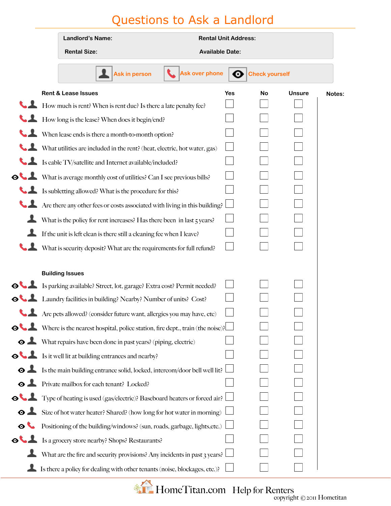## Questions to Ask a Landlord

|                            | Landlord's Name:                                                              |                      | <b>Rental Unit Address:</b> |     |                       |               |        |
|----------------------------|-------------------------------------------------------------------------------|----------------------|-----------------------------|-----|-----------------------|---------------|--------|
|                            | <b>Rental Size:</b>                                                           |                      | <b>Available Date:</b>      |     |                       |               |        |
|                            |                                                                               | <b>Ask in person</b> | <b>Ask over phone</b>       | ⊙   | <b>Check yourself</b> |               |        |
|                            | <b>Rent &amp; Lease Issues</b>                                                |                      |                             | Yes | <b>No</b>             | <b>Unsure</b> | Notes: |
|                            | How much is rent? When is rent due? Is there a late penalty fee?              |                      |                             |     |                       |               |        |
|                            | How long is the lease? When does it begin/end?                                |                      |                             |     |                       |               |        |
|                            | When lease ends is there a month-to-month option?                             |                      |                             |     |                       |               |        |
|                            | What utilities are included in the rent? (heat, electric, hot water, gas)     |                      |                             |     |                       |               |        |
|                            | Is cable TV/satellite and Internet available/included?                        |                      |                             |     |                       |               |        |
|                            | O What is average monthly cost of utilities? Can I see previous bills?        |                      |                             |     |                       |               |        |
|                            | Is subletting allowed? What is the procedure for this?                        |                      |                             |     |                       |               |        |
|                            | Are there any other fees or costs associated with living in this building?    |                      |                             |     |                       |               |        |
| Ŧ                          | What is the policy for rent increases? Has there been in last 5 years?        |                      |                             |     |                       |               |        |
|                            | If the unit is left clean is there still a cleaning fee when I leave?         |                      |                             |     |                       |               |        |
|                            | What is security deposit? What are the requirements for full refund?          |                      |                             |     |                       |               |        |
|                            |                                                                               |                      |                             |     |                       |               |        |
|                            | <b>Building Issues</b>                                                        |                      |                             |     |                       |               |        |
|                            | Sparking available? Street, lot, garage? Extra cost? Permit needed?           |                      |                             |     |                       |               |        |
|                            | <b>O</b> Laundry facilities in building? Nearby? Number of units? Cost?       |                      |                             |     |                       |               |        |
|                            | Are pets allowed? (consider future want, allergies you may have, etc)         |                      |                             |     |                       |               |        |
|                            | Where is the nearest hospital, police station, fire dept., train (the noise)? |                      |                             |     |                       |               |        |
|                            | • What repairs have been done in past years? (piping, electric)               |                      |                             |     |                       |               |        |
|                            | Solution is it well lit at building entrances and nearby?                     |                      |                             |     |                       |               |        |
| $\bullet$ $\blacktriangle$ | Is the main building entrance solid, locked, intercom/door bell well lit?     |                      |                             |     |                       |               |        |
|                            | • Private mailbox for each tenant? Locked?                                    |                      |                             |     |                       |               |        |
|                            | O Type of heating is used (gas/electric)? Baseboard heaters or forced air?    |                      |                             |     |                       |               |        |
| $\bullet$ $\blacktriangle$ | Size of hot water heater? Shared? (how long for hot water in morning)         |                      |                             |     |                       |               |        |
| $\bullet$                  | Positioning of the building/windows? (sun, roads, garbage, lights, etc.)      |                      |                             |     |                       |               |        |
|                            | <b>OUL</b> Is a grocery store nearby? Shops? Restaurants?                     |                      |                             |     |                       |               |        |
|                            | What are the fire and security provisions? Any incidents in past 3 years?     |                      |                             |     |                       |               |        |
|                            | Is there a policy for dealing with other tenants (noise, blockages, etc.)?    |                      |                             |     |                       |               |        |

**EXAMPLE HOMETITAN.COM Help for Renters** copyright © 2011 Hometitan